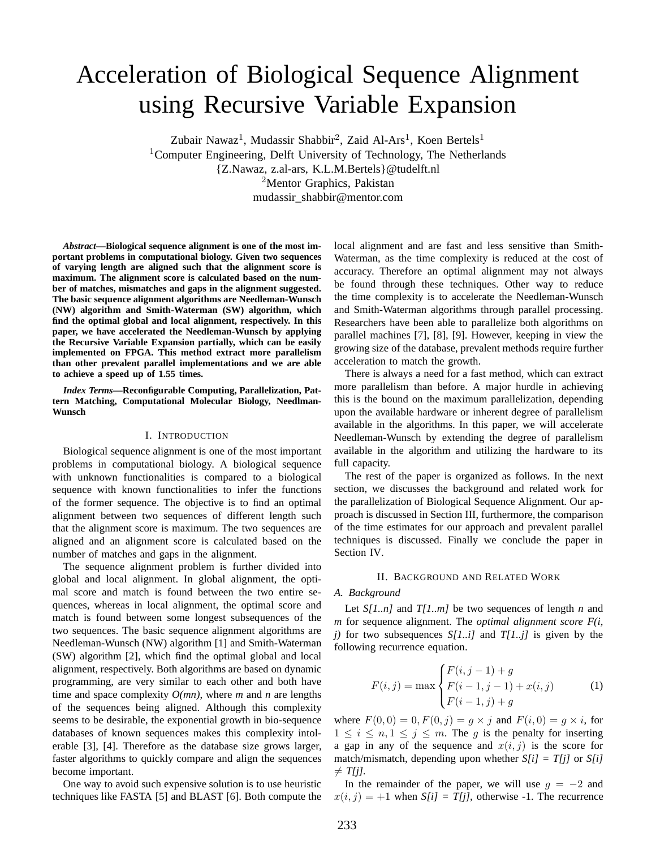# Acceleration of Biological Sequence Alignment using Recursive Variable Expansion

Zubair Nawaz<sup>1</sup>, Mudassir Shabbir<sup>2</sup>, Zaid Al-Ars<sup>1</sup>, Koen Bertels<sup>1</sup> <sup>1</sup>Computer Engineering, Delft University of Technology, The Netherlands {Z.Nawaz, z.al-ars, K.L.M.Bertels}@tudelft.nl <sup>2</sup>Mentor Graphics, Pakistan mudassir\_shabbir@mentor.com

*Abstract***—Biological sequence alignment is one of the most important problems in computational biology. Given two sequences of varying length are aligned such that the alignment score is maximum. The alignment score is calculated based on the number of matches, mismatches and gaps in the alignment suggested. The basic sequence alignment algorithms are Needleman-Wunsch (NW) algorithm and Smith-Waterman (SW) algorithm, which find the optimal global and local alignment, respectively. In this paper, we have accelerated the Needleman-Wunsch by applying the Recursive Variable Expansion partially, which can be easily implemented on FPGA. This method extract more parallelism than other prevalent parallel implementations and we are able to achieve a speed up of 1.55 times.**

*Index Terms***—Reconfigurable Computing, Parallelization, Pattern Matching, Computational Molecular Biology, Needlman-Wunsch**

## I. INTRODUCTION

Biological sequence alignment is one of the most important problems in computational biology. A biological sequence with unknown functionalities is compared to a biological sequence with known functionalities to infer the functions of the former sequence. The objective is to find an optimal alignment between two sequences of different length such that the alignment score is maximum. The two sequences are aligned and an alignment score is calculated based on the number of matches and gaps in the alignment.

The sequence alignment problem is further divided into global and local alignment. In global alignment, the optimal score and match is found between the two entire sequences, whereas in local alignment, the optimal score and match is found between some longest subsequences of the two sequences. The basic sequence alignment algorithms are Needleman-Wunsch (NW) algorithm [1] and Smith-Waterman (SW) algorithm [2], which find the optimal global and local alignment, respectively. Both algorithms are based on dynamic programming, are very similar to each other and both have time and space complexity  $O(mn)$ , where *m* and *n* are lengths of the sequences being aligned. Although this complexity seems to be desirable, the exponential growth in bio-sequence databases of known sequences makes this complexity intolerable [3], [4]. Therefore as the database size grows larger, faster algorithms to quickly compare and align the sequences become important.

One way to avoid such expensive solution is to use heuristic techniques like FASTA [5] and BLAST [6]. Both compute the local alignment and are fast and less sensitive than Smith-Waterman, as the time complexity is reduced at the cost of accuracy. Therefore an optimal alignment may not always be found through these techniques. Other way to reduce the time complexity is to accelerate the Needleman-Wunsch and Smith-Waterman algorithms through parallel processing. Researchers have been able to parallelize both algorithms on parallel machines [7], [8], [9]. However, keeping in view the growing size of the database, prevalent methods require further acceleration to match the growth.

There is always a need for a fast method, which can extract more parallelism than before. A major hurdle in achieving this is the bound on the maximum parallelization, depending upon the available hardware or inherent degree of parallelism available in the algorithms. In this paper, we will accelerate Needleman-Wunsch by extending the degree of parallelism available in the algorithm and utilizing the hardware to its full capacity.

The rest of the paper is organized as follows. In the next section, we discusses the background and related work for the parallelization of Biological Sequence Alignment. Our approach is discussed in Section III, furthermore, the comparison of the time estimates for our approach and prevalent parallel techniques is discussed. Finally we conclude the paper in Section IV.

## II. BACKGROUND AND RELATED WORK

#### *A. Background*

Let *S*[1..*n*] and *T*[1..*m*] be two sequences of length *n* and *m* for sequence alignment. The *optimal alignment score F(i, j)* for two subsequences *S[1..i]* and *T[1..j]* is given by the following recurrence equation.

$$
F(i,j) = \max \begin{cases} F(i,j-1) + g \\ F(i-1,j-1) + x(i,j) \\ F(i-1,j) + g \end{cases}
$$
 (1)

where  $F(0, 0) = 0, F(0, j) = g \times j$  and  $F(i, 0) = g \times i$ , for  $1 \leq i \leq n, 1 \leq j \leq m$ . The g is the penalty for inserting a gap in any of the sequence and  $x(i, j)$  is the score for match/mismatch, depending upon whether *S[i] = T[j]* or *S[i]*  $\neq$  *T*[*j*].

In the remainder of the paper, we will use  $g = -2$  and  $x(i, j) = +1$  when  $S[i] = T[j]$ , otherwise -1. The recurrence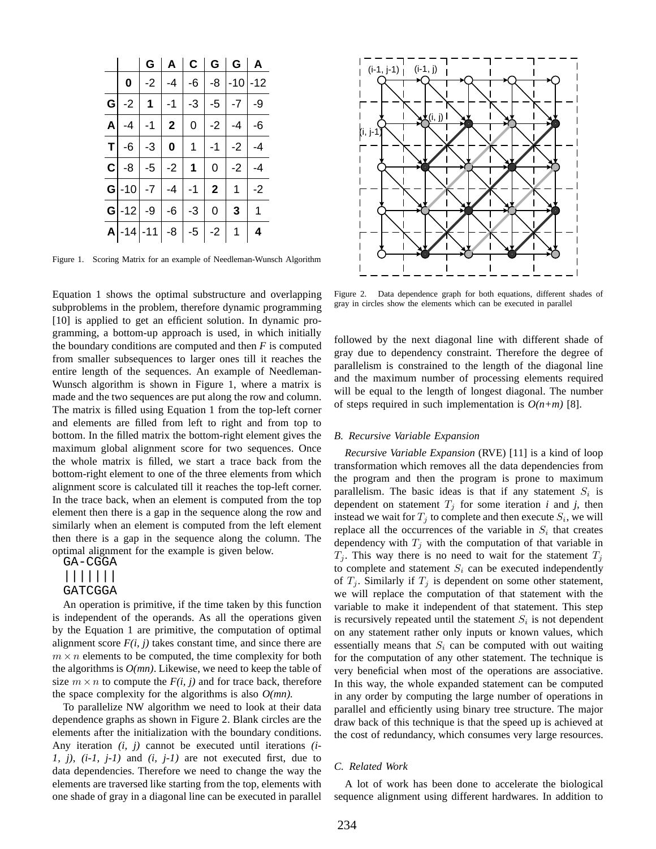|  |                                                                          |  |                | G   A   C   G   G   A |           |
|--|--------------------------------------------------------------------------|--|----------------|-----------------------|-----------|
|  | $\mathbf{0}$   -2   -4   -6   -8   -10  -12                              |  |                |                       |           |
|  | G $-2$ 1 $-1$ $-3$ $-5$ $-7$ $-9$                                        |  |                |                       |           |
|  | A $-4$ $-1$ $2$ $0$ $-2$ $-4$ $-6$                                       |  |                |                       |           |
|  | $T$   -6   -3   0   1   -1   -2   -4                                     |  |                |                       |           |
|  | <b>C</b> $-8$ $-5$ $-2$ 1 0 $-2$ $-4$                                    |  |                |                       |           |
|  | <b>G</b> $\begin{bmatrix} -10 & -7 & -4 & -1 & 2 & 1 & -2 \end{bmatrix}$ |  |                |                       |           |
|  | <b>G</b> $\mid$ -12 $\mid$ -9 $\mid$ -6 $\mid$ -3                        |  | $\overline{0}$ | 3 <sup>1</sup>        | $\vert$ 1 |
|  | $ A -14 -11 -8 -5 -2 1 4$                                                |  |                |                       |           |

Figure 1. Scoring Matrix for an example of Needleman-Wunsch Algorithm

Equation 1 shows the optimal substructure and overlapping subproblems in the problem, therefore dynamic programming [10] is applied to get an efficient solution. In dynamic programming, a bottom-up approach is used, in which initially the boundary conditions are computed and then *F* is computed from smaller subsequences to larger ones till it reaches the entire length of the sequences. An example of Needleman-Wunsch algorithm is shown in Figure 1, where a matrix is made and the two sequences are put along the row and column. The matrix is filled using Equation 1 from the top-left corner and elements are filled from left to right and from top to bottom. In the filled matrix the bottom-right element gives the maximum global alignment score for two sequences. Once the whole matrix is filled, we start a trace back from the bottom-right element to one of the three elements from which alignment score is calculated till it reaches the top-left corner. In the trace back, when an element is computed from the top element then there is a gap in the sequence along the row and similarly when an element is computed from the left element then there is a gap in the sequence along the column. The optimal alignment for the example is given below.

GA-CGGA

## ||||||| GATCGGA

An operation is primitive, if the time taken by this function is independent of the operands. As all the operations given by the Equation 1 are primitive, the computation of optimal alignment score  $F(i, j)$  takes constant time, and since there are  $m \times n$  elements to be computed, the time complexity for both the algorithms is *O(mn)*. Likewise, we need to keep the table of size  $m \times n$  to compute the  $F(i, j)$  and for trace back, therefore the space complexity for the algorithms is also *O(mn).*

To parallelize NW algorithm we need to look at their data dependence graphs as shown in Figure 2. Blank circles are the elements after the initialization with the boundary conditions. Any iteration *(i, j)* cannot be executed until iterations *(i-1, j)*, *(i-1, j-1)* and *(i, j-1)* are not executed first, due to data dependencies. Therefore we need to change the way the elements are traversed like starting from the top, elements with one shade of gray in a diagonal line can be executed in parallel



Figure 2. Data dependence graph for both equations, different shades of gray in circles show the elements which can be executed in parallel

followed by the next diagonal line with different shade of gray due to dependency constraint. Therefore the degree of parallelism is constrained to the length of the diagonal line and the maximum number of processing elements required will be equal to the length of longest diagonal. The number of steps required in such implementation is  $O(n+m)$  [8].

## *B. Recursive Variable Expansion*

*Recursive Variable Expansion* (RVE) [11] is a kind of loop transformation which removes all the data dependencies from the program and then the program is prone to maximum parallelism. The basic ideas is that if any statement  $S_i$  is dependent on statement  $T_i$  for some iteration *i* and *j*, then instead we wait for  $T_j$  to complete and then execute  $S_i$ , we will replace all the occurrences of the variable in  $S_i$  that creates dependency with  $T_i$  with the computation of that variable in  $T_i$ . This way there is no need to wait for the statement  $T_j$ to complete and statement  $S_i$  can be executed independently of  $T_i$ . Similarly if  $T_i$  is dependent on some other statement, we will replace the computation of that statement with the variable to make it independent of that statement. This step is recursively repeated until the statement  $S_i$  is not dependent on any statement rather only inputs or known values, which essentially means that  $S_i$  can be computed with out waiting for the computation of any other statement. The technique is very beneficial when most of the operations are associative. In this way, the whole expanded statement can be computed in any order by computing the large number of operations in parallel and efficiently using binary tree structure. The major draw back of this technique is that the speed up is achieved at the cost of redundancy, which consumes very large resources.

## *C. Related Work*

A lot of work has been done to accelerate the biological sequence alignment using different hardwares. In addition to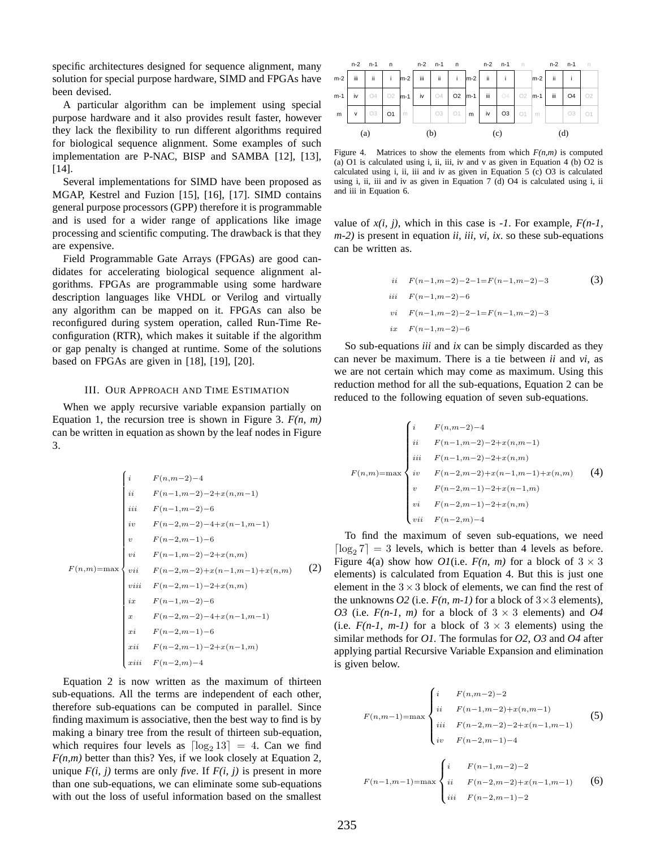specific architectures designed for sequence alignment, many solution for special purpose hardware, SIMD and FPGAs have been devised.

A particular algorithm can be implement using special purpose hardware and it also provides result faster, however they lack the flexibility to run different algorithms required for biological sequence alignment. Some examples of such implementation are P-NAC, BISP and SAMBA [12], [13], [14].

Several implementations for SIMD have been proposed as MGAP, Kestrel and Fuzion [15], [16], [17]. SIMD contains general purpose processors (GPP) therefore it is programmable and is used for a wider range of applications like image processing and scientific computing. The drawback is that they are expensive.

Field Programmable Gate Arrays (FPGAs) are good candidates for accelerating biological sequence alignment algorithms. FPGAs are programmable using some hardware description languages like VHDL or Verilog and virtually any algorithm can be mapped on it. FPGAs can also be reconfigured during system operation, called Run-Time Reconfiguration (RTR), which makes it suitable if the algorithm or gap penalty is changed at runtime. Some of the solutions based on FPGAs are given in [18], [19], [20].

#### III. OUR APPROACH AND TIME ESTIMATION

When we apply recursive variable expansion partially on Equation 1, the recursion tree is shown in Figure 3. *F(n, m)* can be written in equation as shown by the leaf nodes in Figure 3.

$$
F(n,m-2)-4
$$
\n
$$
F(n-1,m-2)-2+x(n,m-1)
$$
\n
$$
iii
$$
\n
$$
F(n-1,m-2)-6
$$
\n
$$
iv
$$
\n
$$
F(n-2,m-2)-4+x(n-1,m-1)
$$
\n
$$
v
$$
\n
$$
F(n-2,m-1)-6
$$
\n
$$
vi
$$
\n
$$
F(n-1,m-2)-2+x(n,m)
$$
\n
$$
vii
$$
\n
$$
F(n-2,m-2)+x(n-1,m-1)+x(n,m)
$$
\n
$$
ix
$$
\n
$$
F(n-2,m-1)-2+x(n,m-1)
$$
\n
$$
ix
$$
\n
$$
F(n-2,m-2)-4+x(n-1,m-1)
$$
\n
$$
xi
$$
\n
$$
F(n-2,m-1)-6
$$
\n
$$
xii
$$
\n
$$
F(n-2,m-1)-2+x(n-1,m)
$$
\n
$$
xiii
$$
\n
$$
F(n-2,m)-4
$$

Equation 2 is now written as the maximum of thirteen sub-equations. All the terms are independent of each other, therefore sub-equations can be computed in parallel. Since finding maximum is associative, then the best way to find is by making a binary tree from the result of thirteen sub-equation, which requires four levels as  $\lfloor \log_2 13 \rfloor = 4$ . Can we find  $F(n,m)$  better than this? Yes, if we look closely at Equation 2, unique  $F(i, j)$  terms are only *five*. If  $F(i, j)$  is present in more than one sub-equations, we can eliminate some sub-equations with out the loss of useful information based on the smallest



Figure 4. Matrices to show the elements from which  $F(n,m)$  is computed (a) O1 is calculated using i, ii, iii, iv and v as given in Equation 4 (b) O2 is calculated using i, ii, iii and iv as given in Equation 5 (c) O3 is calculated using i, ii, iii and iv as given in Equation 7 (d) O4 is calculated using i, ii and iii in Equation 6.

value of  $x(i, j)$ , which in this case is  $-1$ . For example,  $F(n-1)$ , *m-2)* is present in equation *ii, iii, vi, ix*. so these sub-equations can be written as.

$$
\begin{aligned}\nii \quad & F(n-1,m-2)-2-1=F(n-1,m-2)-3 \\
iii \quad & F(n-1,m-2)-6 \\
vi \quad & F(n-1,m-2)-2-1=F(n-1,m-2)-3 \\
ix \quad & F(n-1,m-2)-6\n\end{aligned} \tag{3}
$$

So sub-equations *iii* and *ix* can be simply discarded as they can never be maximum. There is a tie between *ii* and *vi*, as we are not certain which may come as maximum. Using this reduction method for all the sub-equations, Equation 2 can be reduced to the following equation of seven sub-equations.

$$
F(n,m) = \max \begin{cases} i & F(n,m-2)-4 \\ ii & F(n-1,m-2)-2+x(n,m-1) \\ iii & F(n-1,m-2)-2+x(n,m) \\ iv & F(n-2,m-2)+x(n-1,m-1)+x(n,m) \\ v & F(n-2,m-1)-2+x(n-1,m) \\ vi & F(n-2,m-1)-2+x(n,m) \\ vi & F(n-2,m)-4 \end{cases}
$$
(4)

To find the maximum of seven sub-equations, we need  $\lceil \log_2 7 \rceil = 3$  levels, which is better than 4 levels as before. Figure 4(a) show how *O1*(i.e.  $F(n, m)$  for a block of  $3 \times 3$ elements) is calculated from Equation 4. But this is just one element in the  $3 \times 3$  block of elements, we can find the rest of the unknowns *O2* (i.e.  $F(n, m-1)$  for a block of  $3 \times 3$  elements), *O3* (i.e.  $F(n-1, m)$  for a block of  $3 \times 3$  elements) and *O4* (i.e.  $F(n-1, m-1)$  for a block of  $3 \times 3$  elements) using the similar methods for *O1.* The formulas for *O2*, *O3* and *O4* after applying partial Recursive Variable Expansion and elimination is given below.

$$
F(n,m-1) = \max \begin{cases} i & F(n,m-2)-2\\ ii & F(n-1,m-2)+x(n,m-1)\\ iii & F(n-2,m-2)-2+x(n-1,m-1)\\ iv & F(n-2,m-1)-4 \end{cases}
$$
(5)  

$$
F(n-1,m-1) = \max \begin{cases} i & F(n-1,m-2)-2\\ ii & F(n-2,m-2)+x(n-1,m-1)\\ iii & F(n-2,m-1)-2 \end{cases}
$$
(6)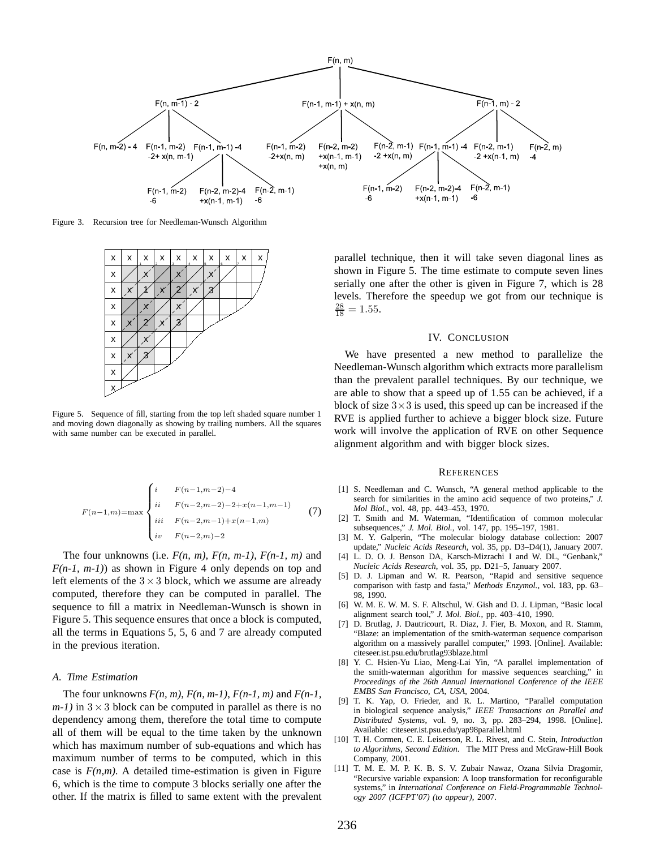

Figure 3. Recursion tree for Needleman-Wunsch Algorithm



Figure 5. Sequence of fill, starting from the top left shaded square number 1 and moving down diagonally as showing by trailing numbers. All the squares with same number can be executed in parallel.

$$
F(n-1,m) = \max \begin{cases} i & F(n-1,m-2)-4 \\ ii & F(n-2,m-2)-2+x(n-1,m-1) \\ iii & F(n-2,m-1)+x(n-1,m) \\ iv & F(n-2,m)-2 \end{cases}
$$
(7)

The four unknowns (i.e.  $F(n, m)$ ,  $F(n, m-1)$ ,  $F(n-1, m)$  and *F(n-1, m-1)*) as shown in Figure 4 only depends on top and left elements of the  $3 \times 3$  block, which we assume are already computed, therefore they can be computed in parallel. The sequence to fill a matrix in Needleman-Wunsch is shown in Figure 5. This sequence ensures that once a block is computed, all the terms in Equations 5, 5, 6 and 7 are already computed in the previous iteration.

#### *A. Time Estimation*

The four unknowns *F(n, m)*, *F(n, m-1)*, *F(n-1, m)* and *F(n-1,*  $(m-1)$  in  $3 \times 3$  block can be computed in parallel as there is no dependency among them, therefore the total time to compute all of them will be equal to the time taken by the unknown which has maximum number of sub-equations and which has maximum number of terms to be computed, which in this case is  $F(n,m)$ . A detailed time-estimation is given in Figure 6, which is the time to compute 3 blocks serially one after the other. If the matrix is filled to same extent with the prevalent parallel technique, then it will take seven diagonal lines as shown in Figure 5. The time estimate to compute seven lines serially one after the other is given in Figure 7, which is 28 levels. Therefore the speedup we got from our technique is  $\frac{28}{18} = 1.55.$ 

## IV. CONCLUSION

We have presented a new method to parallelize the Needleman-Wunsch algorithm which extracts more parallelism than the prevalent parallel techniques. By our technique, we are able to show that a speed up of 1.55 can be achieved, if a block of size  $3\times 3$  is used, this speed up can be increased if the RVE is applied further to achieve a bigger block size. Future work will involve the application of RVE on other Sequence alignment algorithm and with bigger block sizes.

## **REFERENCES**

- [1] S. Needleman and C. Wunsch, "A general method applicable to the search for similarities in the amino acid sequence of two proteins," *J. Mol Biol.*, vol. 48, pp. 443–453, 1970.
- [2] T. Smith and M. Waterman, "Identification of common molecular subsequences," *J. Mol. Biol.*, vol. 147, pp. 195–197, 1981.
- [3] M. Y. Galperin, "The molecular biology database collection: 2007 update," *Nucleic Acids Research*, vol. 35, pp. D3–D4(1), January 2007.
- [4] L. D. O. J. Benson DA, Karsch-Mizrachi I and W. DL, "Genbank," *Nucleic Acids Research*, vol. 35, pp. D21–5, January 2007.
- [5] D. J. Lipman and W. R. Pearson, "Rapid and sensitive sequence comparison with fastp and fasta," *Methods Enzymol.*, vol. 183, pp. 63– 98, 1990.
- [6] W. M. E. W. M. S. F. Altschul, W. Gish and D. J. Lipman, "Basic local alignment search tool," *J. Mol. Biol.*, pp. 403–410, 1990.
- [7] D. Brutlag, J. Dautricourt, R. Diaz, J. Fier, B. Moxon, and R. Stamm, "Blaze: an implementation of the smith-waterman sequence comparison algorithm on a massively parallel computer," 1993. [Online]. Available: citeseer.ist.psu.edu/brutlag93blaze.html
- [8] Y. C. Hsien-Yu Liao, Meng-Lai Yin, "A parallel implementation of the smith-waterman algorithm for massive sequences searching," in *Proceedings of the 26th Annual International Conference of the IEEE EMBS San Francisco, CA, USA*, 2004.
- [9] T. K. Yap, O. Frieder, and R. L. Martino, "Parallel computation in biological sequence analysis," *IEEE Transactions on Parallel and Distributed Systems*, vol. 9, no. 3, pp. 283–294, 1998. [Online]. Available: citeseer.ist.psu.edu/yap98parallel.html
- [10] T. H. Cormen, C. E. Leiserson, R. L. Rivest, and C. Stein, *Introduction to Algorithms, Second Edition*. The MIT Press and McGraw-Hill Book Company, 2001.
- [11] T. M. E. M. P. K. B. S. V. Zubair Nawaz, Ozana Silvia Dragomir, "Recursive variable expansion: A loop transformation for reconfigurable systems," in *International Conference on Field-Programmable Technology 2007 (ICFPT'07) (to appear)*, 2007.